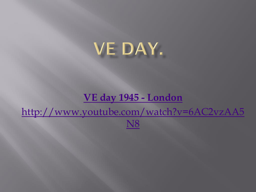## VE DAY.

### **[VE day 1945 -](http://www.youtube.com/watch?v=6AC2vzAA5N8) London**

[http://www.youtube.com/watch?v=6AC2vzAA5](http://www.youtube.com/watch?v=6AC2vzAA5N8) N8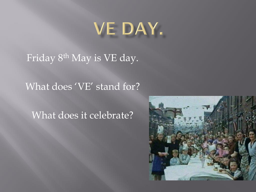# VE DAY.

Friday 8<sup>th</sup> May is VE day.

### What does 'VE' stand for?

## What does it celebrate?

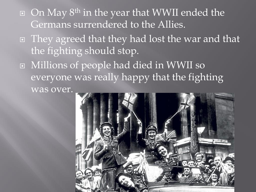- $\Box$  On May 8<sup>th</sup> in the year that WWII ended the Germans surrendered to the Allies.
- They agreed that they had lost the war and that the fighting should stop.
- Millions of people had died in WWII so everyone was really happy that the fighting was over.

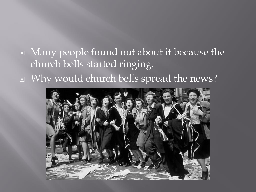## Many people found out about it because the church bells started ringing. Why would church bells spread the news?

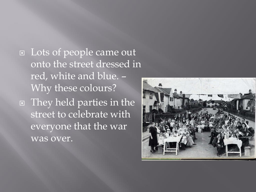Lots of people came out onto the street dressed in red, white and blue. – Why these colours? They held parties in the street to celebrate with everyone that the war was over.

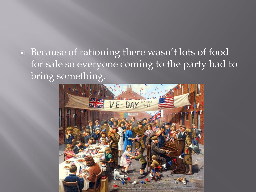□ Because of rationing there wasn't lots of food for sale so everyone coming to the party had to bring something.

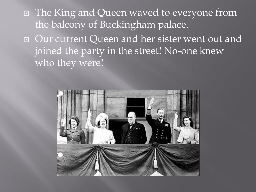The King and Queen waved to everyone from the balcony of Buckingham palace. Our current Queen and her sister went out and joined the party in the street! No-one knew who they were!

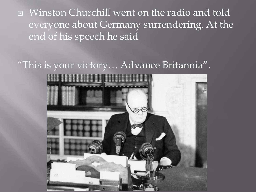Winston Churchill went on the radio and told everyone about Germany surrendering. At the end of his speech he said

#### "This is your victory… Advance Britannia".

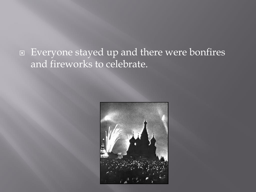## Everyone stayed up and there were bonfires and fireworks to celebrate.

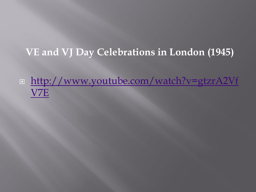## **VE and VJ Day Celebrations in London (1945)**

 [http://www.youtube.com/watch?v=gtzrA2Vf](http://www.youtube.com/watch?v=gtzrA2VfV7E) V7E